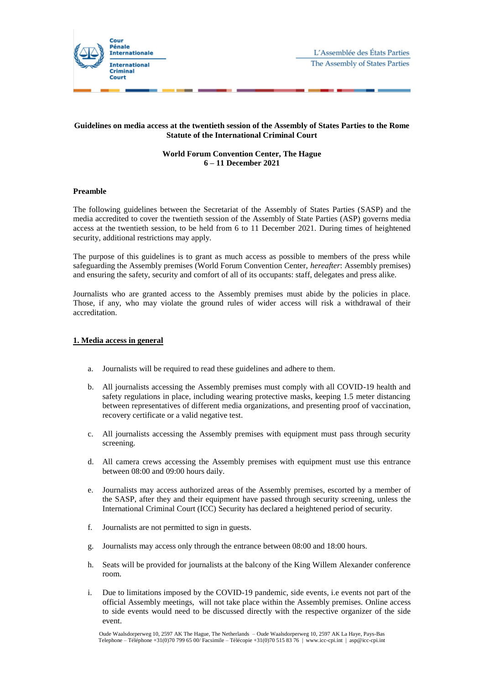

# **Guidelines on media access at the twentieth session of the Assembly of States Parties to the Rome Statute of the International Criminal Court**

# **World Forum Convention Center, The Hague 6 – 11 December 2021**

### **Preamble**

The following guidelines between the Secretariat of the Assembly of States Parties (SASP) and the media accredited to cover the twentieth session of the Assembly of State Parties (ASP) governs media access at the twentieth session, to be held from 6 to 11 December 2021. During times of heightened security, additional restrictions may apply.

The purpose of this guidelines is to grant as much access as possible to members of the press while safeguarding the Assembly premises (World Forum Convention Center, *hereafter*: Assembly premises) and ensuring the safety, security and comfort of all of its occupants: staff, delegates and press alike.

Journalists who are granted access to the Assembly premises must abide by the policies in place. Those, if any, who may violate the ground rules of wider access will risk a withdrawal of their accreditation.

# **1. Media access in general**

- a. Journalists will be required to read these guidelines and adhere to them.
- b. All journalists accessing the Assembly premises must comply with all COVID-19 health and safety regulations in place, including wearing protective masks, keeping 1.5 meter distancing between representatives of different media organizations, and presenting proof of vaccination, recovery certificate or a valid negative test.
- c. All journalists accessing the Assembly premises with equipment must pass through security screening.
- d. All camera crews accessing the Assembly premises with equipment must use this entrance between 08:00 and 09:00 hours daily.
- e. Journalists may access authorized areas of the Assembly premises, escorted by a member of the SASP, after they and their equipment have passed through security screening, unless the International Criminal Court (ICC) Security has declared a heightened period of security.
- f. Journalists are not permitted to sign in guests.
- g. Journalists may access only through the entrance between 08:00 and 18:00 hours.
- h. Seats will be provided for journalists at the balcony of the King Willem Alexander conference room.
- i. Due to limitations imposed by the COVID-19 pandemic, side events, i.e events not part of the official Assembly meetings, will not take place within the Assembly premises. Online access to side events would need to be discussed directly with the respective organizer of the side event.

Oude Waalsdorperweg 10, 2597 AK The Hague, The Netherlands – Oude Waalsdorperweg 10, 2597 AK La Haye, Pays-Bas Telephone – Téléphone +31(0)70 799 65 00/ Facsimile – Télécopie +31(0)70 515 83 76 | www.icc-cpi.int | asp@icc-cpi.int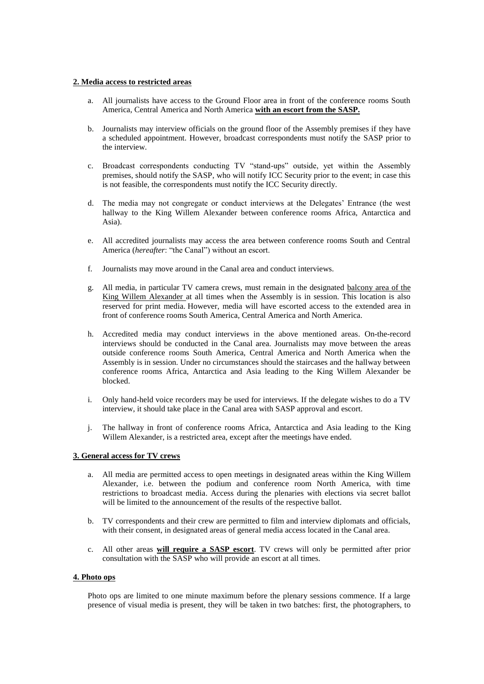### **2. Media access to restricted areas**

- a. All journalists have access to the Ground Floor area in front of the conference rooms South America, Central America and North America **with an escort from the SASP.**
- b. Journalists may interview officials on the ground floor of the Assembly premises if they have a scheduled appointment. However, broadcast correspondents must notify the SASP prior to the interview.
- c. Broadcast correspondents conducting TV "stand-ups" outside, yet within the Assembly premises, should notify the SASP, who will notify ICC Security prior to the event; in case this is not feasible, the correspondents must notify the ICC Security directly.
- d. The media may not congregate or conduct interviews at the Delegates' Entrance (the west hallway to the King Willem Alexander between conference rooms Africa, Antarctica and Asia).
- e. All accredited journalists may access the area between conference rooms South and Central America (*hereafter*: "the Canal") without an escort.
- f. Journalists may move around in the Canal area and conduct interviews.
- g. All media, in particular TV camera crews, must remain in the designated balcony area of the King Willem Alexander at all times when the Assembly is in session. This location is also reserved for print media. However, media will have escorted access to the extended area in front of conference rooms South America, Central America and North America.
- h. Accredited media may conduct interviews in the above mentioned areas. On-the-record interviews should be conducted in the Canal area. Journalists may move between the areas outside conference rooms South America, Central America and North America when the Assembly is in session. Under no circumstances should the staircases and the hallway between conference rooms Africa, Antarctica and Asia leading to the King Willem Alexander be blocked.
- i. Only hand-held voice recorders may be used for interviews. If the delegate wishes to do a TV interview, it should take place in the Canal area with SASP approval and escort.
- j. The hallway in front of conference rooms Africa, Antarctica and Asia leading to the King Willem Alexander, is a restricted area, except after the meetings have ended.

# **3. General access for TV crews**

- a. All media are permitted access to open meetings in designated areas within the King Willem Alexander, i.e. between the podium and conference room North America, with time restrictions to broadcast media. Access during the plenaries with elections via secret ballot will be limited to the announcement of the results of the respective ballot.
- b. TV correspondents and their crew are permitted to film and interview diplomats and officials, with their consent, in designated areas of general media access located in the Canal area.
- c. All other areas **will require a SASP escort**. TV crews will only be permitted after prior consultation with the SASP who will provide an escort at all times.

#### **4. Photo ops**

Photo ops are limited to one minute maximum before the plenary sessions commence. If a large presence of visual media is present, they will be taken in two batches: first, the photographers, to